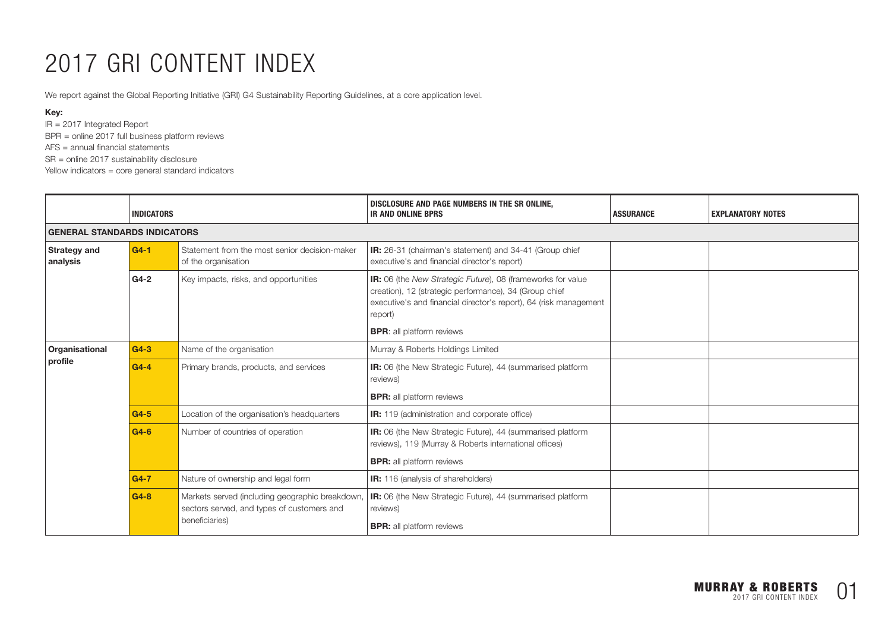# 2017 GRI CONTENT INDEX

We report against the Global Reporting Initiative (GRI) G4 Sustainability Reporting Guidelines, at a core application level.

#### Key:

IR = 2017 Integrated Report BPR = online 2017 full business platform reviews AFS = annual financial statements SR = online 2017 sustainability disclosure

Yellow indicators = core general standard indicators

|                                     | <b>INDICATORS</b> |                                                                                               | DISCLOSURE AND PAGE NUMBERS IN THE SR ONLINE,<br><b>IR AND ONLINE BPRS</b>                                                                                                                                   | <b>ASSURANCE</b> | <b>EXPLANATORY NOTES</b> |  |  |
|-------------------------------------|-------------------|-----------------------------------------------------------------------------------------------|--------------------------------------------------------------------------------------------------------------------------------------------------------------------------------------------------------------|------------------|--------------------------|--|--|
| <b>GENERAL STANDARDS INDICATORS</b> |                   |                                                                                               |                                                                                                                                                                                                              |                  |                          |  |  |
| <b>Strategy and</b><br>analysis     | $G4-1$            | Statement from the most senior decision-maker<br>of the organisation                          | <b>IR:</b> 26-31 (chairman's statement) and 34-41 (Group chief<br>executive's and financial director's report)                                                                                               |                  |                          |  |  |
|                                     | $G4-2$            | Key impacts, risks, and opportunities                                                         | <b>IR:</b> 06 (the New Strategic Future), 08 (frameworks for value<br>creation), 12 (strategic performance), 34 (Group chief<br>executive's and financial director's report), 64 (risk management<br>report) |                  |                          |  |  |
|                                     |                   |                                                                                               | <b>BPR:</b> all platform reviews                                                                                                                                                                             |                  |                          |  |  |
| Organisational                      | $G4-3$            | Name of the organisation                                                                      | Murray & Roberts Holdings Limited                                                                                                                                                                            |                  |                          |  |  |
| profile                             | $G4-4$            | Primary brands, products, and services                                                        | <b>IR:</b> 06 (the New Strategic Future), 44 (summarised platform<br>reviews)                                                                                                                                |                  |                          |  |  |
|                                     |                   |                                                                                               | <b>BPR:</b> all platform reviews                                                                                                                                                                             |                  |                          |  |  |
|                                     | $G4-5$            | Location of the organisation's headquarters                                                   | IR: 119 (administration and corporate office)                                                                                                                                                                |                  |                          |  |  |
|                                     | $G4-6$            | Number of countries of operation                                                              | IR: 06 (the New Strategic Future), 44 (summarised platform<br>reviews), 119 (Murray & Roberts international offices)                                                                                         |                  |                          |  |  |
|                                     |                   |                                                                                               | <b>BPR:</b> all platform reviews                                                                                                                                                                             |                  |                          |  |  |
|                                     | $G4-7$            | Nature of ownership and legal form                                                            | <b>IR:</b> 116 (analysis of shareholders)                                                                                                                                                                    |                  |                          |  |  |
|                                     | $G4-8$            | Markets served (including geographic breakdown,<br>sectors served, and types of customers and | <b>IR:</b> 06 (the New Strategic Future), 44 (summarised platform<br>reviews)                                                                                                                                |                  |                          |  |  |
|                                     |                   | beneficiaries)                                                                                | <b>BPR:</b> all platform reviews                                                                                                                                                                             |                  |                          |  |  |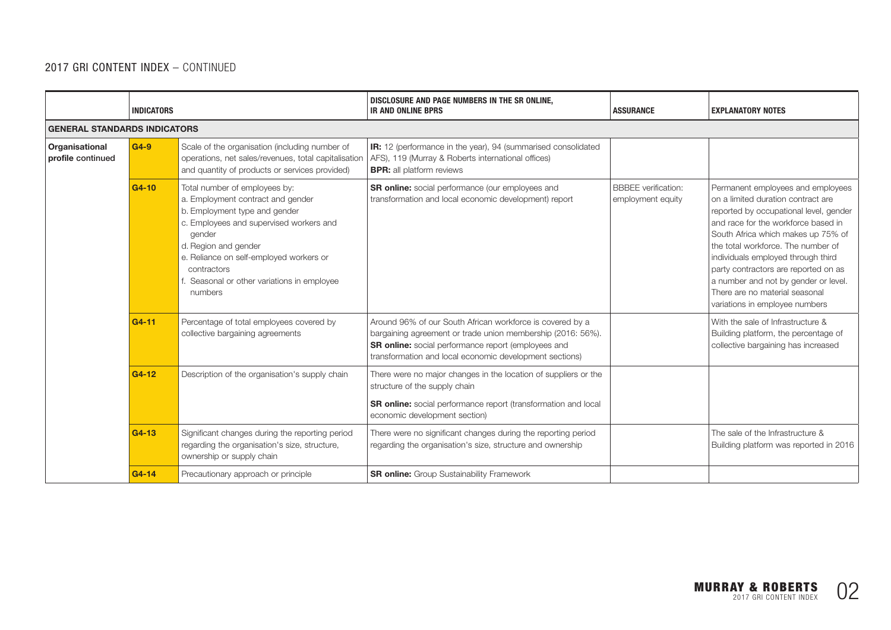|                                     | <b>INDICATORS</b> |                                                                                                                                                                                                                                                                                                   | DISCLOSURE AND PAGE NUMBERS IN THE SR ONLINE,<br><b>IR AND ONLINE BPRS</b>                                                                                                                                                                 | <b>ASSURANCE</b>                                | <b>EXPLANATORY NOTES</b>                                                                                                                                                                                                                                                                                                                                                                                                       |  |  |
|-------------------------------------|-------------------|---------------------------------------------------------------------------------------------------------------------------------------------------------------------------------------------------------------------------------------------------------------------------------------------------|--------------------------------------------------------------------------------------------------------------------------------------------------------------------------------------------------------------------------------------------|-------------------------------------------------|--------------------------------------------------------------------------------------------------------------------------------------------------------------------------------------------------------------------------------------------------------------------------------------------------------------------------------------------------------------------------------------------------------------------------------|--|--|
| <b>GENERAL STANDARDS INDICATORS</b> |                   |                                                                                                                                                                                                                                                                                                   |                                                                                                                                                                                                                                            |                                                 |                                                                                                                                                                                                                                                                                                                                                                                                                                |  |  |
| Organisational<br>profile continued | $G4-9$            | Scale of the organisation (including number of<br>operations, net sales/revenues, total capitalisation<br>and quantity of products or services provided)                                                                                                                                          | IR: 12 (performance in the year), 94 (summarised consolidated<br>AFS), 119 (Murray & Roberts international offices)<br><b>BPR:</b> all platform reviews                                                                                    |                                                 |                                                                                                                                                                                                                                                                                                                                                                                                                                |  |  |
|                                     | G4-10             | Total number of employees by:<br>a. Employment contract and gender<br>b. Employment type and gender<br>c. Employees and supervised workers and<br>gender<br>d. Region and gender<br>e. Reliance on self-employed workers or<br>contractors<br>Seasonal or other variations in employee<br>numbers | SR online: social performance (our employees and<br>transformation and local economic development) report                                                                                                                                  | <b>BBBEE</b> verification:<br>employment equity | Permanent employees and employees<br>on a limited duration contract are<br>reported by occupational level, gender<br>and race for the workforce based in<br>South Africa which makes up 75% of<br>the total workforce. The number of<br>individuals employed through third<br>party contractors are reported on as<br>a number and not by gender or level.<br>There are no material seasonal<br>variations in employee numbers |  |  |
|                                     | G4-11             | Percentage of total employees covered by<br>collective bargaining agreements                                                                                                                                                                                                                      | Around 96% of our South African workforce is covered by a<br>bargaining agreement or trade union membership (2016: 56%).<br>SR online: social performance report (employees and<br>transformation and local economic development sections) |                                                 | With the sale of Infrastructure &<br>Building platform, the percentage of<br>collective bargaining has increased                                                                                                                                                                                                                                                                                                               |  |  |
|                                     | G4-12             | Description of the organisation's supply chain                                                                                                                                                                                                                                                    | There were no major changes in the location of suppliers or the<br>structure of the supply chain<br><b>SR online:</b> social performance report (transformation and local<br>economic development section)                                 |                                                 |                                                                                                                                                                                                                                                                                                                                                                                                                                |  |  |
|                                     | G4-13             | Significant changes during the reporting period<br>regarding the organisation's size, structure,<br>ownership or supply chain                                                                                                                                                                     | There were no significant changes during the reporting period<br>regarding the organisation's size, structure and ownership                                                                                                                |                                                 | The sale of the Infrastructure &<br>Building platform was reported in 2016                                                                                                                                                                                                                                                                                                                                                     |  |  |
|                                     | G4-14             | Precautionary approach or principle                                                                                                                                                                                                                                                               | <b>SR online:</b> Group Sustainability Framework                                                                                                                                                                                           |                                                 |                                                                                                                                                                                                                                                                                                                                                                                                                                |  |  |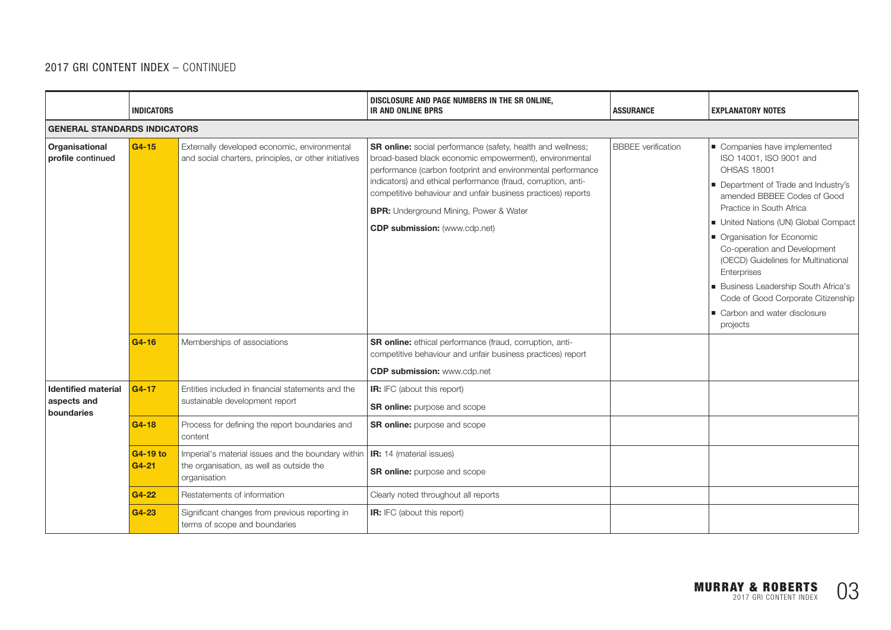|                                                         | <b>INDICATORS</b>   |                                                                                                                | DISCLOSURE AND PAGE NUMBERS IN THE SR ONLINE,<br><b>IR AND ONLINE BPRS</b>                                                                                                                                                                                                                                                                                                                                            | <b>ASSURANCE</b>          | <b>EXPLANATORY NOTES</b>                                                                                                                                                                                                                                                                                                                                                                                                                                       |
|---------------------------------------------------------|---------------------|----------------------------------------------------------------------------------------------------------------|-----------------------------------------------------------------------------------------------------------------------------------------------------------------------------------------------------------------------------------------------------------------------------------------------------------------------------------------------------------------------------------------------------------------------|---------------------------|----------------------------------------------------------------------------------------------------------------------------------------------------------------------------------------------------------------------------------------------------------------------------------------------------------------------------------------------------------------------------------------------------------------------------------------------------------------|
| <b>GENERAL STANDARDS INDICATORS</b>                     |                     |                                                                                                                |                                                                                                                                                                                                                                                                                                                                                                                                                       |                           |                                                                                                                                                                                                                                                                                                                                                                                                                                                                |
| Organisational<br>profile continued                     | $G4-15$             | Externally developed economic, environmental<br>and social charters, principles, or other initiatives          | <b>SR online:</b> social performance (safety, health and wellness;<br>broad-based black economic empowerment), environmental<br>performance (carbon footprint and environmental performance<br>indicators) and ethical performance (fraud, corruption, anti-<br>competitive behaviour and unfair business practices) reports<br><b>BPR:</b> Underground Mining, Power & Water<br><b>CDP submission:</b> (www.cdp.net) | <b>BBBEE</b> verification | Companies have implemented<br>ISO 14001, ISO 9001 and<br><b>OHSAS 18001</b><br>Department of Trade and Industry's<br>amended BBBEE Codes of Good<br>Practice in South Africa<br>United Nations (UN) Global Compact<br>• Organisation for Economic<br>Co-operation and Development<br>(OECD) Guidelines for Multinational<br>Enterprises<br>Business Leadership South Africa's<br>Code of Good Corporate Citizenship<br>Carbon and water disclosure<br>projects |
|                                                         | G4-16               | Memberships of associations                                                                                    | SR online: ethical performance (fraud, corruption, anti-<br>competitive behaviour and unfair business practices) report<br><b>CDP submission:</b> www.cdp.net                                                                                                                                                                                                                                                         |                           |                                                                                                                                                                                                                                                                                                                                                                                                                                                                |
| <b>Identified material</b><br>aspects and<br>boundaries | $G4 - 17$           | Entities included in financial statements and the<br>sustainable development report                            | <b>IR:</b> IFC (about this report)<br><b>SR online:</b> purpose and scope                                                                                                                                                                                                                                                                                                                                             |                           |                                                                                                                                                                                                                                                                                                                                                                                                                                                                |
|                                                         | $G4-18$             | Process for defining the report boundaries and<br>content                                                      | <b>SR online:</b> purpose and scope                                                                                                                                                                                                                                                                                                                                                                                   |                           |                                                                                                                                                                                                                                                                                                                                                                                                                                                                |
|                                                         | G4-19 to<br>$G4-21$ | Imperial's material issues and the boundary within<br>the organisation, as well as outside the<br>organisation | <b>IR:</b> 14 (material issues)<br><b>SR online:</b> purpose and scope                                                                                                                                                                                                                                                                                                                                                |                           |                                                                                                                                                                                                                                                                                                                                                                                                                                                                |
|                                                         | G4-22               | Restatements of information                                                                                    | Clearly noted throughout all reports                                                                                                                                                                                                                                                                                                                                                                                  |                           |                                                                                                                                                                                                                                                                                                                                                                                                                                                                |
|                                                         | G4-23               | Significant changes from previous reporting in<br>terms of scope and boundaries                                | <b>IR:</b> IFC (about this report)                                                                                                                                                                                                                                                                                                                                                                                    |                           |                                                                                                                                                                                                                                                                                                                                                                                                                                                                |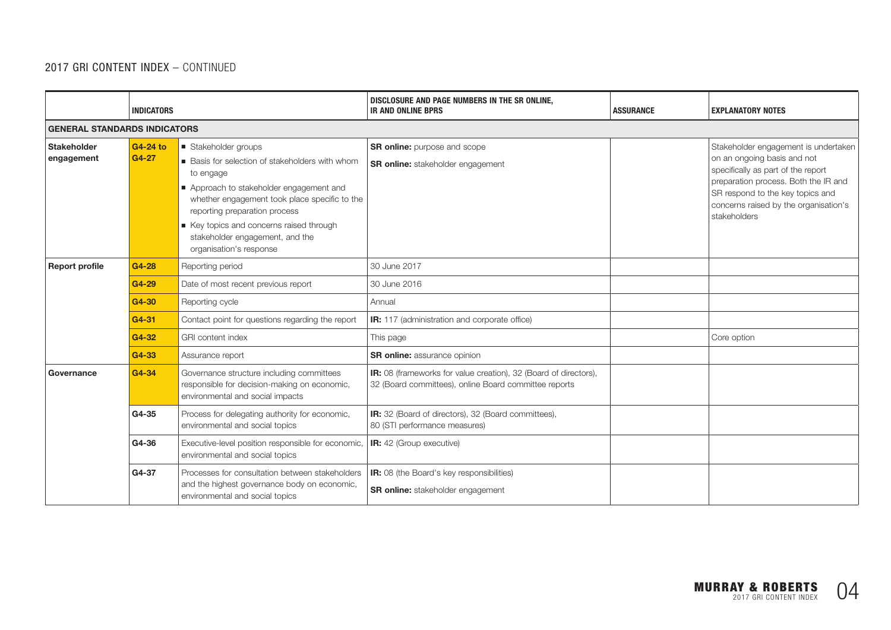|                                  | <b>INDICATORS</b>                   |                                                                                                                                                                                                                                                                                                                        | DISCLOSURE AND PAGE NUMBERS IN THE SR ONLINE,<br><b>IR AND ONLINE BPRS</b>                                                | <b>ASSURANCE</b> | <b>EXPLANATORY NOTES</b>                                                                                                                                                                                                                       |  |  |  |
|----------------------------------|-------------------------------------|------------------------------------------------------------------------------------------------------------------------------------------------------------------------------------------------------------------------------------------------------------------------------------------------------------------------|---------------------------------------------------------------------------------------------------------------------------|------------------|------------------------------------------------------------------------------------------------------------------------------------------------------------------------------------------------------------------------------------------------|--|--|--|
|                                  | <b>GENERAL STANDARDS INDICATORS</b> |                                                                                                                                                                                                                                                                                                                        |                                                                                                                           |                  |                                                                                                                                                                                                                                                |  |  |  |
| <b>Stakeholder</b><br>engagement | G4-24 to<br>G4-27                   | Stakeholder groups<br>■ Basis for selection of stakeholders with whom<br>to engage<br>Approach to stakeholder engagement and<br>whether engagement took place specific to the<br>reporting preparation process<br>Key topics and concerns raised through<br>stakeholder engagement, and the<br>organisation's response | <b>SR online:</b> purpose and scope<br><b>SR online:</b> stakeholder engagement                                           |                  | Stakeholder engagement is undertaken<br>on an ongoing basis and not<br>specifically as part of the report<br>preparation process. Both the IR and<br>SR respond to the key topics and<br>concerns raised by the organisation's<br>stakeholders |  |  |  |
| <b>Report profile</b>            | G4-28                               | Reporting period                                                                                                                                                                                                                                                                                                       | 30 June 2017                                                                                                              |                  |                                                                                                                                                                                                                                                |  |  |  |
|                                  | G4-29                               | Date of most recent previous report                                                                                                                                                                                                                                                                                    | 30 June 2016                                                                                                              |                  |                                                                                                                                                                                                                                                |  |  |  |
|                                  | G4-30                               | Reporting cycle                                                                                                                                                                                                                                                                                                        | Annual                                                                                                                    |                  |                                                                                                                                                                                                                                                |  |  |  |
|                                  | G4-31                               | Contact point for questions regarding the report                                                                                                                                                                                                                                                                       | <b>IR:</b> 117 (administration and corporate office)                                                                      |                  |                                                                                                                                                                                                                                                |  |  |  |
|                                  | G4-32                               | <b>GRI</b> content index                                                                                                                                                                                                                                                                                               | This page                                                                                                                 |                  | Core option                                                                                                                                                                                                                                    |  |  |  |
|                                  | G4-33                               | Assurance report                                                                                                                                                                                                                                                                                                       | <b>SR online:</b> assurance opinion                                                                                       |                  |                                                                                                                                                                                                                                                |  |  |  |
| Governance                       | G4-34                               | Governance structure including committees<br>responsible for decision-making on economic,<br>environmental and social impacts                                                                                                                                                                                          | IR: 08 (frameworks for value creation), 32 (Board of directors),<br>32 (Board committees), online Board committee reports |                  |                                                                                                                                                                                                                                                |  |  |  |
|                                  | G4-35                               | Process for delegating authority for economic,<br>environmental and social topics                                                                                                                                                                                                                                      | IR: 32 (Board of directors), 32 (Board committees),<br>80 (STI performance measures)                                      |                  |                                                                                                                                                                                                                                                |  |  |  |
|                                  | G4-36                               | Executive-level position responsible for economic,<br>environmental and social topics                                                                                                                                                                                                                                  | IR: 42 (Group executive)                                                                                                  |                  |                                                                                                                                                                                                                                                |  |  |  |
|                                  | G4-37                               | Processes for consultation between stakeholders<br>and the highest governance body on economic,<br>environmental and social topics                                                                                                                                                                                     | <b>IR:</b> 08 (the Board's key responsibilities)<br><b>SR online:</b> stakeholder engagement                              |                  |                                                                                                                                                                                                                                                |  |  |  |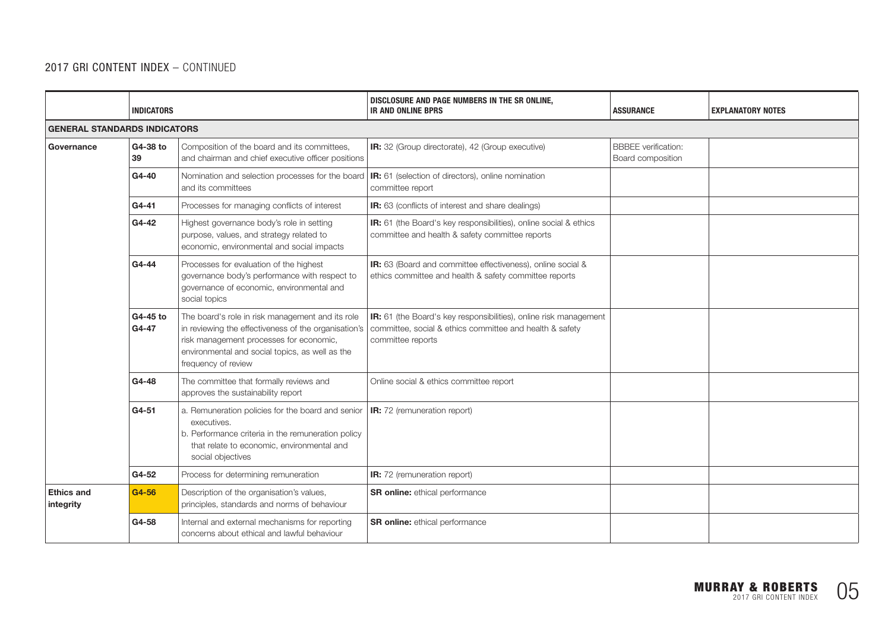|                                | <b>INDICATORS</b>                   |                                                                                                                                                                                                                               | DISCLOSURE AND PAGE NUMBERS IN THE SR ONLINE,<br><b>IR AND ONLINE BPRS</b>                                                                         | <b>ASSURANCE</b>                                | <b>EXPLANATORY NOTES</b> |  |  |  |
|--------------------------------|-------------------------------------|-------------------------------------------------------------------------------------------------------------------------------------------------------------------------------------------------------------------------------|----------------------------------------------------------------------------------------------------------------------------------------------------|-------------------------------------------------|--------------------------|--|--|--|
|                                | <b>GENERAL STANDARDS INDICATORS</b> |                                                                                                                                                                                                                               |                                                                                                                                                    |                                                 |                          |  |  |  |
| Governance                     | G4-38 to<br>39                      | Composition of the board and its committees,<br>and chairman and chief executive officer positions                                                                                                                            | IR: 32 (Group directorate), 42 (Group executive)                                                                                                   | <b>BBBEE</b> verification:<br>Board composition |                          |  |  |  |
|                                | G4-40                               | Nomination and selection processes for the board<br>and its committees                                                                                                                                                        | <b>IR:</b> 61 (selection of directors), online nomination<br>committee report                                                                      |                                                 |                          |  |  |  |
|                                | G4-41                               | Processes for managing conflicts of interest                                                                                                                                                                                  | <b>IR:</b> 63 (conflicts of interest and share dealings)                                                                                           |                                                 |                          |  |  |  |
|                                | G4-42                               | Highest governance body's role in setting<br>purpose, values, and strategy related to<br>economic, environmental and social impacts                                                                                           | IR: 61 (the Board's key responsibilities), online social & ethics<br>committee and health & safety committee reports                               |                                                 |                          |  |  |  |
|                                | G4-44                               | Processes for evaluation of the highest<br>governance body's performance with respect to<br>governance of economic, environmental and<br>social topics                                                                        | IR: 63 (Board and committee effectiveness), online social &<br>ethics committee and health & safety committee reports                              |                                                 |                          |  |  |  |
|                                | G4-45 to<br>G4-47                   | The board's role in risk management and its role<br>in reviewing the effectiveness of the organisation's<br>risk management processes for economic,<br>environmental and social topics, as well as the<br>frequency of review | IR: 61 (the Board's key responsibilities), online risk management<br>committee, social & ethics committee and health & safety<br>committee reports |                                                 |                          |  |  |  |
|                                | G4-48                               | The committee that formally reviews and<br>approves the sustainability report                                                                                                                                                 | Online social & ethics committee report                                                                                                            |                                                 |                          |  |  |  |
|                                | G4-51                               | a. Remuneration policies for the board and senior<br>executives.<br>b. Performance criteria in the remuneration policy<br>that relate to economic, environmental and<br>social objectives                                     | IR: 72 (remuneration report)                                                                                                                       |                                                 |                          |  |  |  |
|                                | G4-52                               | Process for determining remuneration                                                                                                                                                                                          | IR: 72 (remuneration report)                                                                                                                       |                                                 |                          |  |  |  |
| <b>Ethics and</b><br>integrity | G4-56                               | Description of the organisation's values,<br>principles, standards and norms of behaviour                                                                                                                                     | <b>SR online:</b> ethical performance                                                                                                              |                                                 |                          |  |  |  |
|                                | G4-58                               | Internal and external mechanisms for reporting<br>concerns about ethical and lawful behaviour                                                                                                                                 | SR online: ethical performance                                                                                                                     |                                                 |                          |  |  |  |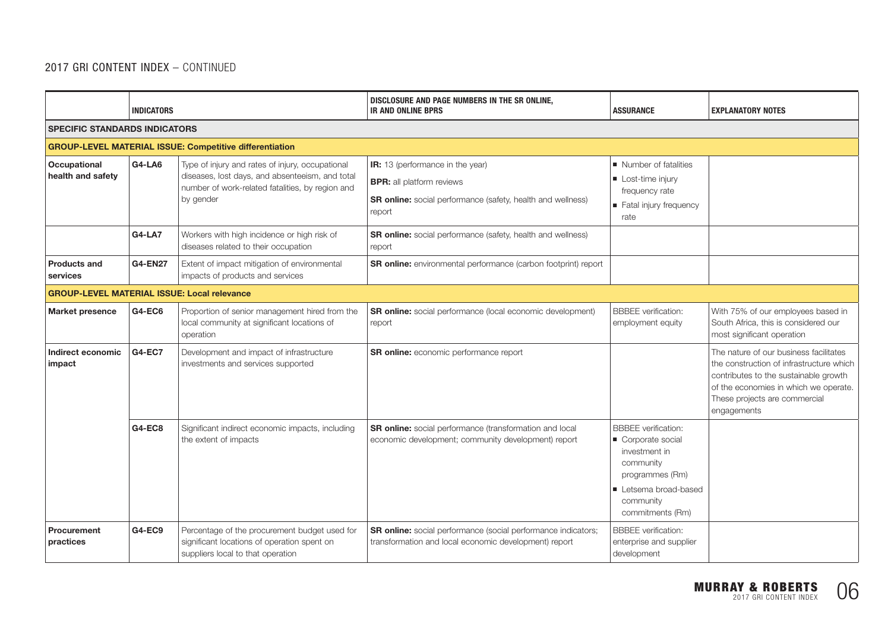|                                                    | <b>INDICATORS</b>                                              |                                                                                                                                                                      | DISCLOSURE AND PAGE NUMBERS IN THE SR ONLINE.<br><b>IR AND ONLINE BPRS</b>                                                                           | <b>ASSURANCE</b>                                                                                                                                        | <b>EXPLANATORY NOTES</b>                                                                                                                                                                                             |  |  |  |
|----------------------------------------------------|----------------------------------------------------------------|----------------------------------------------------------------------------------------------------------------------------------------------------------------------|------------------------------------------------------------------------------------------------------------------------------------------------------|---------------------------------------------------------------------------------------------------------------------------------------------------------|----------------------------------------------------------------------------------------------------------------------------------------------------------------------------------------------------------------------|--|--|--|
| <b>SPECIFIC STANDARDS INDICATORS</b>               |                                                                |                                                                                                                                                                      |                                                                                                                                                      |                                                                                                                                                         |                                                                                                                                                                                                                      |  |  |  |
|                                                    | <b>GROUP-LEVEL MATERIAL ISSUE: Competitive differentiation</b> |                                                                                                                                                                      |                                                                                                                                                      |                                                                                                                                                         |                                                                                                                                                                                                                      |  |  |  |
| <b>Occupational</b><br>health and safety           | G4-LA6                                                         | Type of injury and rates of injury, occupational<br>diseases, lost days, and absenteeism, and total<br>number of work-related fatalities, by region and<br>by gender | IR: 13 (performance in the year)<br><b>BPR:</b> all platform reviews<br><b>SR online:</b> social performance (safety, health and wellness)<br>report | Number of fatalities<br>Lost-time injury<br>frequency rate<br>Fatal injury frequency<br>rate                                                            |                                                                                                                                                                                                                      |  |  |  |
|                                                    | <b>G4-LA7</b>                                                  | Workers with high incidence or high risk of<br>diseases related to their occupation                                                                                  | <b>SR online:</b> social performance (safety, health and wellness)<br>report                                                                         |                                                                                                                                                         |                                                                                                                                                                                                                      |  |  |  |
| <b>Products and</b><br>services                    | <b>G4-EN27</b>                                                 | Extent of impact mitigation of environmental<br>impacts of products and services                                                                                     | SR online: environmental performance (carbon footprint) report                                                                                       |                                                                                                                                                         |                                                                                                                                                                                                                      |  |  |  |
| <b>GROUP-LEVEL MATERIAL ISSUE: Local relevance</b> |                                                                |                                                                                                                                                                      |                                                                                                                                                      |                                                                                                                                                         |                                                                                                                                                                                                                      |  |  |  |
| Market presence                                    | G4-EC6                                                         | Proportion of senior management hired from the<br>local community at significant locations of<br>operation                                                           | <b>SR online:</b> social performance (local economic development)<br>report                                                                          | <b>BBBEE</b> verification:<br>employment equity                                                                                                         | With 75% of our employees based in<br>South Africa, this is considered our<br>most significant operation                                                                                                             |  |  |  |
| Indirect economic<br>impact                        | <b>G4-EC7</b>                                                  | Development and impact of infrastructure<br>investments and services supported                                                                                       | SR online: economic performance report                                                                                                               |                                                                                                                                                         | The nature of our business facilitates<br>the construction of infrastructure which<br>contributes to the sustainable growth<br>of the economies in which we operate.<br>These projects are commercial<br>engagements |  |  |  |
|                                                    | <b>G4-EC8</b>                                                  | Significant indirect economic impacts, including<br>the extent of impacts                                                                                            | <b>SR online:</b> social performance (transformation and local<br>economic development; community development) report                                | <b>BBBEE</b> verification:<br>Corporate social<br>investment in<br>community<br>programmes (Rm)<br>Letsema broad-based<br>community<br>commitments (Rm) |                                                                                                                                                                                                                      |  |  |  |
| Procurement<br>practices                           | G4-EC9                                                         | Percentage of the procurement budget used for<br>significant locations of operation spent on<br>suppliers local to that operation                                    | SR online: social performance (social performance indicators;<br>transformation and local economic development) report                               | <b>BBBEE</b> verification:<br>enterprise and supplier<br>development                                                                                    |                                                                                                                                                                                                                      |  |  |  |

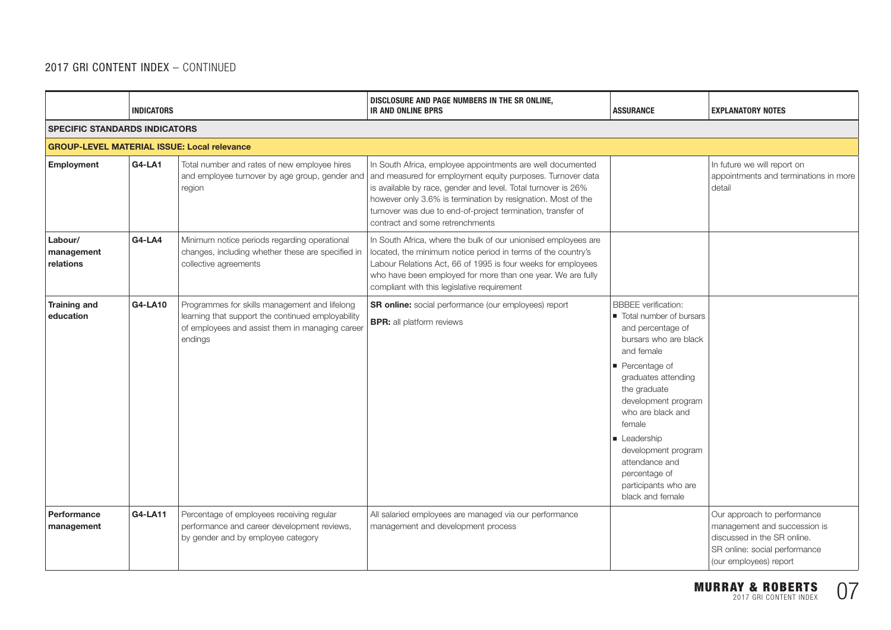|                                                    | <b>INDICATORS</b> |                                                                                                                                                                  | DISCLOSURE AND PAGE NUMBERS IN THE SR ONLINE,<br><b>IR AND ONLINE BPRS</b>                                                                                                                                                                                                                                                                                  | <b>ASSURANCE</b>                                                                                                                                                                                                                                                                                                                                                   | <b>EXPLANATORY NOTES</b>                                                                                                                              |  |  |  |
|----------------------------------------------------|-------------------|------------------------------------------------------------------------------------------------------------------------------------------------------------------|-------------------------------------------------------------------------------------------------------------------------------------------------------------------------------------------------------------------------------------------------------------------------------------------------------------------------------------------------------------|--------------------------------------------------------------------------------------------------------------------------------------------------------------------------------------------------------------------------------------------------------------------------------------------------------------------------------------------------------------------|-------------------------------------------------------------------------------------------------------------------------------------------------------|--|--|--|
| <b>SPECIFIC STANDARDS INDICATORS</b>               |                   |                                                                                                                                                                  |                                                                                                                                                                                                                                                                                                                                                             |                                                                                                                                                                                                                                                                                                                                                                    |                                                                                                                                                       |  |  |  |
| <b>GROUP-LEVEL MATERIAL ISSUE: Local relevance</b> |                   |                                                                                                                                                                  |                                                                                                                                                                                                                                                                                                                                                             |                                                                                                                                                                                                                                                                                                                                                                    |                                                                                                                                                       |  |  |  |
| <b>Employment</b>                                  | <b>G4-LA1</b>     | Total number and rates of new employee hires<br>and employee turnover by age group, gender and<br>region                                                         | In South Africa, employee appointments are well documented<br>and measured for employment equity purposes. Turnover data<br>is available by race, gender and level. Total turnover is 26%<br>however only 3.6% is termination by resignation. Most of the<br>turnover was due to end-of-project termination, transfer of<br>contract and some retrenchments |                                                                                                                                                                                                                                                                                                                                                                    | In future we will report on<br>appointments and terminations in more<br>detail                                                                        |  |  |  |
| Labour/<br>management<br>relations                 | <b>G4-LA4</b>     | Minimum notice periods regarding operational<br>changes, including whether these are specified in<br>collective agreements                                       | In South Africa, where the bulk of our unionised employees are<br>located, the minimum notice period in terms of the country's<br>Labour Relations Act, 66 of 1995 is four weeks for employees<br>who have been employed for more than one year. We are fully<br>compliant with this legislative requirement                                                |                                                                                                                                                                                                                                                                                                                                                                    |                                                                                                                                                       |  |  |  |
| <b>Training and</b><br>education                   | G4-LA10           | Programmes for skills management and lifelong<br>learning that support the continued employability<br>of employees and assist them in managing career<br>endings | SR online: social performance (our employees) report<br><b>BPR:</b> all platform reviews                                                                                                                                                                                                                                                                    | <b>BBBEE</b> verification:<br>Total number of bursars<br>and percentage of<br>bursars who are black<br>and female<br>$\blacksquare$ Percentage of<br>graduates attending<br>the graduate<br>development program<br>who are black and<br>female<br>Leadership<br>development program<br>attendance and<br>percentage of<br>participants who are<br>black and female |                                                                                                                                                       |  |  |  |
| Performance<br>management                          | G4-LA11           | Percentage of employees receiving regular<br>performance and career development reviews,<br>by gender and by employee category                                   | All salaried employees are managed via our performance<br>management and development process                                                                                                                                                                                                                                                                |                                                                                                                                                                                                                                                                                                                                                                    | Our approach to performance<br>management and succession is<br>discussed in the SR online.<br>SR online: social performance<br>(our employees) report |  |  |  |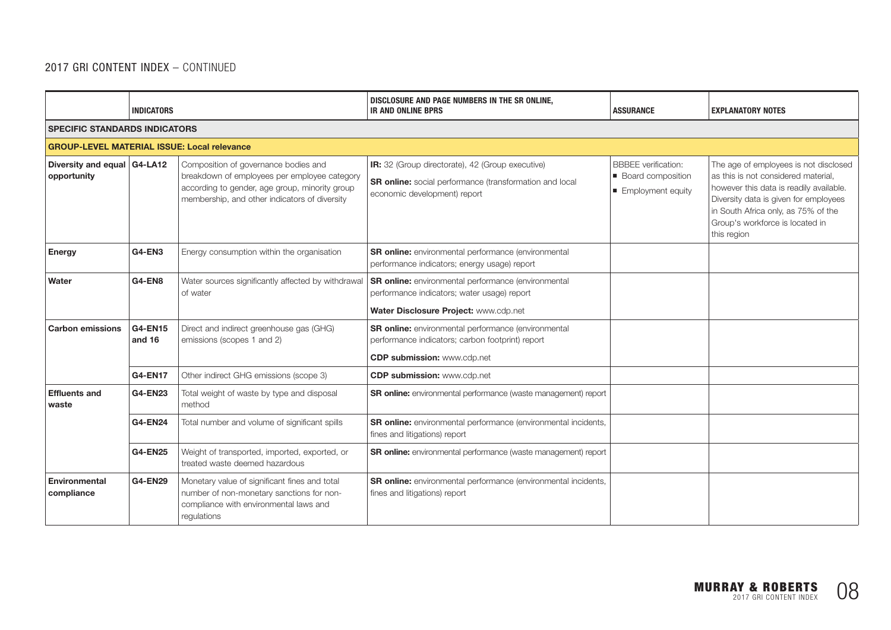|                                                    | <b>INDICATORS</b>        |                                                                                                                                                                                         | DISCLOSURE AND PAGE NUMBERS IN THE SR ONLINE,<br><b>IR AND ONLINE BPRS</b>                                                                           | <b>ASSURANCE</b>                                                         | <b>EXPLANATORY NOTES</b>                                                                                                                                                                                                                                  |  |  |
|----------------------------------------------------|--------------------------|-----------------------------------------------------------------------------------------------------------------------------------------------------------------------------------------|------------------------------------------------------------------------------------------------------------------------------------------------------|--------------------------------------------------------------------------|-----------------------------------------------------------------------------------------------------------------------------------------------------------------------------------------------------------------------------------------------------------|--|--|
| <b>SPECIFIC STANDARDS INDICATORS</b>               |                          |                                                                                                                                                                                         |                                                                                                                                                      |                                                                          |                                                                                                                                                                                                                                                           |  |  |
| <b>GROUP-LEVEL MATERIAL ISSUE: Local relevance</b> |                          |                                                                                                                                                                                         |                                                                                                                                                      |                                                                          |                                                                                                                                                                                                                                                           |  |  |
| Diversity and equal G4-LA12<br>opportunity         |                          | Composition of governance bodies and<br>breakdown of employees per employee category<br>according to gender, age group, minority group<br>membership, and other indicators of diversity | IR: 32 (Group directorate), 42 (Group executive)<br><b>SR online:</b> social performance (transformation and local<br>economic development) report   | <b>BBBEE</b> verification:<br>■ Board composition<br>■ Employment equity | The age of employees is not disclosed<br>as this is not considered material.<br>however this data is readily available.<br>Diversity data is given for employees<br>in South Africa only, as 75% of the<br>Group's workforce is located in<br>this region |  |  |
| <b>Energy</b>                                      | <b>G4-EN3</b>            | Energy consumption within the organisation                                                                                                                                              | SR online: environmental performance (environmental<br>performance indicators; energy usage) report                                                  |                                                                          |                                                                                                                                                                                                                                                           |  |  |
| Water                                              | G4-EN8                   | Water sources significantly affected by withdrawal<br>of water                                                                                                                          | <b>SR online:</b> environmental performance (environmental<br>performance indicators; water usage) report<br>Water Disclosure Project: www.cdp.net   |                                                                          |                                                                                                                                                                                                                                                           |  |  |
| <b>Carbon emissions</b>                            | <b>G4-EN15</b><br>and 16 | Direct and indirect greenhouse gas (GHG)<br>emissions (scopes 1 and 2)                                                                                                                  | <b>SR online:</b> environmental performance (environmental<br>performance indicators; carbon footprint) report<br><b>CDP submission:</b> www.cdp.net |                                                                          |                                                                                                                                                                                                                                                           |  |  |
|                                                    | <b>G4-EN17</b>           | Other indirect GHG emissions (scope 3)                                                                                                                                                  | <b>CDP submission: www.cdp.net</b>                                                                                                                   |                                                                          |                                                                                                                                                                                                                                                           |  |  |
| <b>Effluents and</b><br>waste                      | <b>G4-EN23</b>           | Total weight of waste by type and disposal<br>method                                                                                                                                    | <b>SR online:</b> environmental performance (waste management) report                                                                                |                                                                          |                                                                                                                                                                                                                                                           |  |  |
|                                                    | <b>G4-EN24</b>           | Total number and volume of significant spills                                                                                                                                           | <b>SR online:</b> environmental performance (environmental incidents,<br>fines and litigations) report                                               |                                                                          |                                                                                                                                                                                                                                                           |  |  |
|                                                    | <b>G4-EN25</b>           | Weight of transported, imported, exported, or<br>treated waste deemed hazardous                                                                                                         | SR online: environmental performance (waste management) report                                                                                       |                                                                          |                                                                                                                                                                                                                                                           |  |  |
| <b>Environmental</b><br>compliance                 | <b>G4-EN29</b>           | Monetary value of significant fines and total<br>number of non-monetary sanctions for non-<br>compliance with environmental laws and<br>regulations                                     | SR online: environmental performance (environmental incidents,<br>fines and litigations) report                                                      |                                                                          |                                                                                                                                                                                                                                                           |  |  |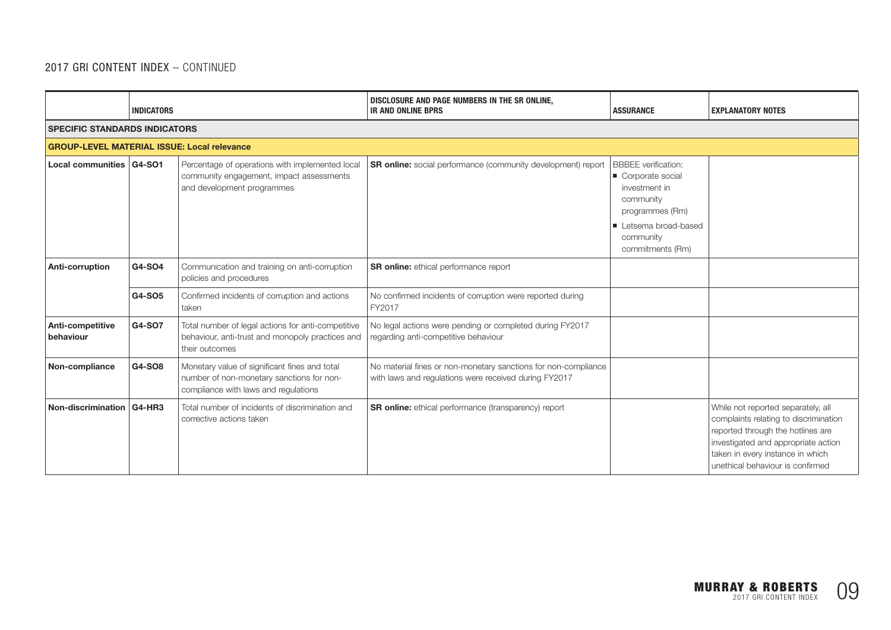|                                                    | <b>INDICATORS</b> |                                                                                                                                    | DISCLOSURE AND PAGE NUMBERS IN THE SR ONLINE,<br><b>IR AND ONLINE BPRS</b>                                              | <b>ASSURANCE</b>                                                                                | <b>EXPLANATORY NOTES</b>                                                                                                                                                                                                        |  |  |  |
|----------------------------------------------------|-------------------|------------------------------------------------------------------------------------------------------------------------------------|-------------------------------------------------------------------------------------------------------------------------|-------------------------------------------------------------------------------------------------|---------------------------------------------------------------------------------------------------------------------------------------------------------------------------------------------------------------------------------|--|--|--|
| <b>SPECIFIC STANDARDS INDICATORS</b>               |                   |                                                                                                                                    |                                                                                                                         |                                                                                                 |                                                                                                                                                                                                                                 |  |  |  |
| <b>GROUP-LEVEL MATERIAL ISSUE: Local relevance</b> |                   |                                                                                                                                    |                                                                                                                         |                                                                                                 |                                                                                                                                                                                                                                 |  |  |  |
| Local communities   G4-SO1                         |                   | Percentage of operations with implemented local<br>community engagement, impact assessments<br>and development programmes          | <b>SR online:</b> social performance (community development) report                                                     | <b>BBBEE</b> verification:<br>Corporate social<br>investment in<br>community<br>programmes (Rm) |                                                                                                                                                                                                                                 |  |  |  |
|                                                    |                   |                                                                                                                                    |                                                                                                                         | Letsema broad-based<br>community<br>commitments (Rm)                                            |                                                                                                                                                                                                                                 |  |  |  |
| Anti-corruption                                    | G4-SO4            | Communication and training on anti-corruption<br>policies and procedures                                                           | SR online: ethical performance report                                                                                   |                                                                                                 |                                                                                                                                                                                                                                 |  |  |  |
|                                                    | G4-SO5            | Confirmed incidents of corruption and actions<br>taken                                                                             | No confirmed incidents of corruption were reported during<br>FY2017                                                     |                                                                                                 |                                                                                                                                                                                                                                 |  |  |  |
| Anti-competitive<br>behaviour                      | G4-SO7            | Total number of legal actions for anti-competitive<br>behaviour, anti-trust and monopoly practices and<br>their outcomes           | No legal actions were pending or completed during FY2017<br>regarding anti-competitive behaviour                        |                                                                                                 |                                                                                                                                                                                                                                 |  |  |  |
| Non-compliance                                     | G4-SO8            | Monetary value of significant fines and total<br>number of non-monetary sanctions for non-<br>compliance with laws and regulations | No material fines or non-monetary sanctions for non-compliance<br>with laws and regulations were received during FY2017 |                                                                                                 |                                                                                                                                                                                                                                 |  |  |  |
| Non-discrimination   G4-HR3                        |                   | Total number of incidents of discrimination and<br>corrective actions taken                                                        | <b>SR online:</b> ethical performance (transparency) report                                                             |                                                                                                 | While not reported separately, all<br>complaints relating to discrimination<br>reported through the hotlines are<br>investigated and appropriate action<br>taken in every instance in which<br>unethical behaviour is confirmed |  |  |  |